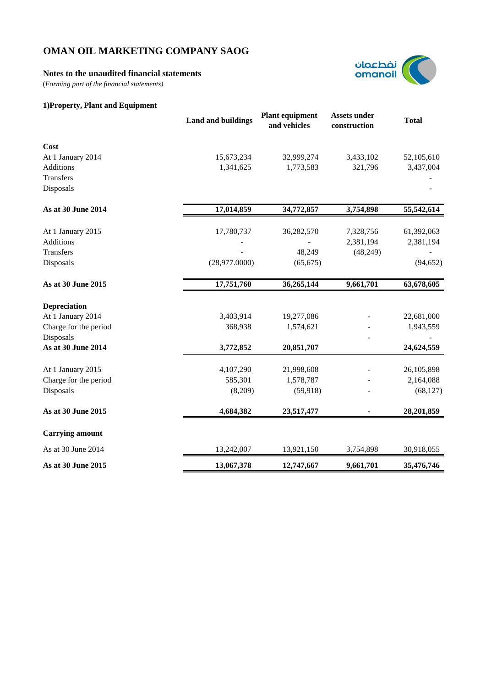## **Notes to the unaudited financial statements**

(*Forming part of the financial statements)*

# **1)Property, Plant and Equipment**



|                        | <b>Land and buildings</b> | <b>Plant equipment</b><br>and vehicles | <b>Assets under</b><br>construction | <b>Total</b> |
|------------------------|---------------------------|----------------------------------------|-------------------------------------|--------------|
| Cost                   |                           |                                        |                                     |              |
| At 1 January 2014      | 15,673,234                | 32,999,274                             | 3,433,102                           | 52,105,610   |
| Additions              | 1,341,625                 | 1,773,583                              | 321,796                             | 3,437,004    |
| Transfers              |                           |                                        |                                     |              |
| Disposals              |                           |                                        |                                     |              |
| As at 30 June 2014     | 17,014,859                | 34,772,857                             | 3,754,898                           | 55,542,614   |
| At 1 January 2015      | 17,780,737                | 36,282,570                             | 7,328,756                           | 61,392,063   |
| Additions              |                           |                                        | 2,381,194                           | 2,381,194    |
| Transfers              |                           | 48,249                                 | (48,249)                            |              |
| Disposals              | (28,977.0000)             | (65, 675)                              |                                     | (94, 652)    |
| As at 30 June 2015     | 17,751,760                | 36,265,144                             | 9,661,701                           | 63,678,605   |
| <b>Depreciation</b>    |                           |                                        |                                     |              |
| At 1 January 2014      | 3,403,914                 | 19,277,086                             |                                     | 22,681,000   |
| Charge for the period  | 368,938                   | 1,574,621                              |                                     | 1,943,559    |
| Disposals              |                           |                                        |                                     |              |
| As at 30 June 2014     | 3,772,852                 | 20,851,707                             |                                     | 24,624,559   |
| At 1 January 2015      | 4,107,290                 | 21,998,608                             |                                     | 26,105,898   |
| Charge for the period  | 585,301                   | 1,578,787                              |                                     | 2,164,088    |
| Disposals              | (8,209)                   | (59, 918)                              |                                     | (68, 127)    |
| As at 30 June 2015     | 4,684,382                 | 23,517,477                             |                                     | 28,201,859   |
| <b>Carrying amount</b> |                           |                                        |                                     |              |
| As at 30 June 2014     | 13,242,007                | 13,921,150                             | 3,754,898                           | 30,918,055   |
| As at 30 June 2015     | 13,067,378                | 12,747,667                             | 9,661,701                           | 35,476,746   |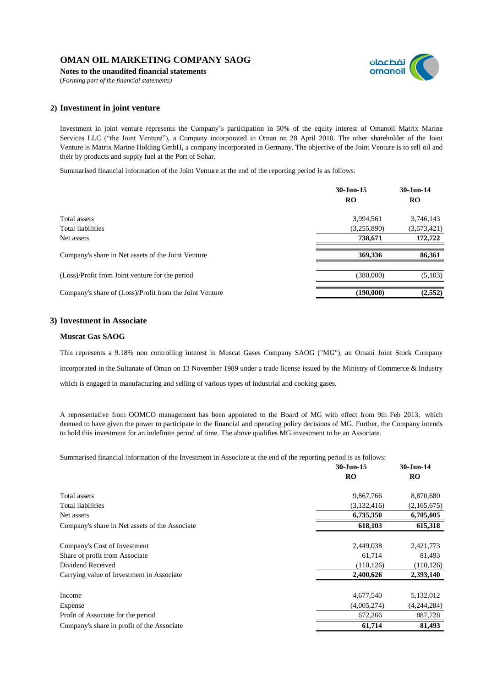**Notes to the unaudited financial statements**





## **2) Investment in joint venture**

Investment in joint venture represents the Company's participation in 50% of the equity interest of Omanoil Matrix Marine Services LLC ("the Joint Venture"), a Company incorporated in Oman on 28 April 2010. The other shareholder of the Joint Venture is Matrix Marine Holding GmbH, a company incorporated in Germany. The objective of the Joint Venture is to sell oil and their by products and supply fuel at the Port of Sohar.

Summarised financial information of the Joint Venture at the end of the reporting period is as follows:

|                                                         | 30-Jun-15<br>RO | 30-Jun-14<br><b>RO</b> |
|---------------------------------------------------------|-----------------|------------------------|
| Total assets                                            | 3,994,561       | 3,746,143              |
| Total liabilities                                       | (3,255,890)     | (3,573,421)            |
| Net assets                                              | 738,671         | 172,722                |
| Company's share in Net assets of the Joint Venture      | 369,336         | 86,361                 |
| (Loss)/Profit from Joint venture for the period         | (380,000)       | (5,103)                |
| Company's share of (Loss)/Profit from the Joint Venture | (190,000)       | (2, 552)               |

#### **3) Investment in Associate**

#### **Muscat Gas SAOG**

This represents a 9.18% non controlling interest in Muscat Gases Company SAOG ("MG"), an Omani Joint Stock Company incorporated in the Sultanate of Oman on 13 November 1989 under a trade license issued by the Ministry of Commerce & Industry which is engaged in manufacturing and selling of various types of industrial and cooking gases.

A representative from OOMCO management has been appointed to the Board of MG with effect from 9th Feb 2013, which deemed to have given the power to participate in the financial and operating policy decisions of MG. Further, the Company intends to hold this investment for an indefinite period of time. The above qualifies MG investment to be an Associate.

Summarised financial information of the Investment in Associate at the end of the reporting period is as follows:

|                                                | 30-Jun-15   | 30-Jun-14   |
|------------------------------------------------|-------------|-------------|
|                                                | RO          | <b>RO</b>   |
| Total assets                                   | 9,867,766   | 8,870,680   |
| <b>Total liabilities</b>                       | (3,132,416) | (2,165,675) |
| Net assets                                     | 6,735,350   | 6,705,005   |
| Company's share in Net assets of the Associate | 618,103     | 615,318     |
| Company's Cost of Investment                   | 2,449,038   | 2,421,773   |
| Share of profit from Associate                 | 61,714      | 81,493      |
| Dividend Received                              | (110, 126)  | (110, 126)  |
| Carrying value of Investment in Associate      | 2,400,626   | 2,393,140   |
| Income                                         | 4,677,540   | 5,132,012   |
| Expense                                        | (4,005,274) | (4,244,284) |
| Profit of Associate for the period             | 672,266     | 887,728     |
| Company's share in profit of the Associate     | 61,714      | 81,493      |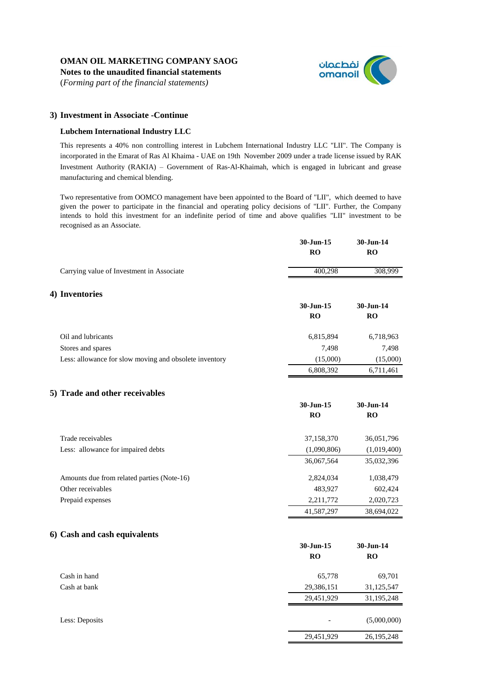**Notes to the unaudited financial statements**

(*Forming part of the financial statements)*



29,451,929 26,195,248

### **3) Investment in Associate -Continue**

#### **Lubchem International Industry LLC**

This represents a 40% non controlling interest in Lubchem International Industry LLC "LII". The Company is incorporated in the Emarat of Ras Al Khaima - UAE on 19th November 2009 under a trade license issued by RAK Investment Authority (RAKIA) – Government of Ras-Al-Khaimah, which is engaged in lubricant and grease manufacturing and chemical blending.

Two representative from OOMCO management have been appointed to the Board of "LII", which deemed to have given the power to participate in the financial and operating policy decisions of "LII". Further, the Company intends to hold this investment for an indefinite period of time and above qualifies "LII" investment to be recognised as an Associate.

|                                                        | 30-Jun-15<br>RO | 30-Jun-14<br>RO        |
|--------------------------------------------------------|-----------------|------------------------|
| Carrying value of Investment in Associate              | 400,298         | 308,999                |
| 4) Inventories                                         |                 |                        |
|                                                        | 30-Jun-15       | 30-Jun-14              |
|                                                        | RO              | RO                     |
| Oil and lubricants                                     | 6,815,894       | 6,718,963              |
| Stores and spares                                      | 7,498           | 7,498                  |
| Less: allowance for slow moving and obsolete inventory | (15,000)        | (15,000)               |
|                                                        | 6,808,392       | 6,711,461              |
| 5) Trade and other receivables                         |                 |                        |
|                                                        | 30-Jun-15<br>RO | 30-Jun-14<br>RO        |
| Trade receivables                                      | 37,158,370      | 36,051,796             |
| Less: allowance for impaired debts                     | (1,090,806)     | (1,019,400)            |
|                                                        | 36,067,564      | 35,032,396             |
| Amounts due from related parties (Note-16)             | 2,824,034       | 1,038,479              |
| Other receivables                                      | 483,927         | 602,424                |
| Prepaid expenses                                       | 2,211,772       | 2,020,723              |
|                                                        | 41,587,297      | 38,694,022             |
| 6) Cash and cash equivalents                           |                 |                        |
|                                                        | 30-Jun-15<br>RO | 30-Jun-14<br><b>RO</b> |
|                                                        |                 |                        |
| Cash in hand                                           | 65,778          | 69,701                 |
| Cash at bank                                           | 29,386,151      | 31,125,547             |
|                                                        | 29,451,929      | 31,195,248             |

Less: Deposits (5,000,000) (6,000,000)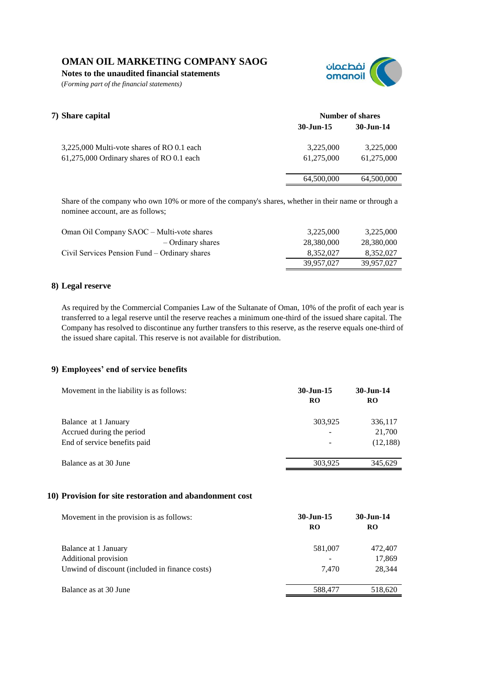**Notes to the unaudited financial statements**

(*Forming part of the financial statements)*



| 7) Share capital                           | Number of shares       |            |
|--------------------------------------------|------------------------|------------|
|                                            | $30 - \text{Jun} - 15$ | 30-Jun-14  |
| 3,225,000 Multi-vote shares of RO 0.1 each | 3,225,000              | 3,225,000  |
| 61,275,000 Ordinary shares of RO 0.1 each  | 61.275,000             | 61,275,000 |
|                                            | 64,500,000             | 64,500,000 |

Share of the company who own 10% or more of the company's shares, whether in their name or through a nominee account, are as follows;

| Oman Oil Company SAOC – Multi-vote shares     | 3.225,000  | 3,225,000  |
|-----------------------------------------------|------------|------------|
| – Ordinary shares                             | 28.380.000 | 28,380,000 |
| Civil Services Pension Fund – Ordinary shares | 8.352.027  | 8.352.027  |
|                                               | 39,957,027 | 39,957,027 |

# **8) Legal reserve**

As required by the Commercial Companies Law of the Sultanate of Oman, 10% of the profit of each year is transferred to a legal reserve until the reserve reaches a minimum one-third of the issued share capital. The Company has resolved to discontinue any further transfers to this reserve, as the reserve equals one-third of the issued share capital. This reserve is not available for distribution.

# **9) Employees' end of service benefits**

| Movement in the liability is as follows: | $30 - \text{Jun} - 15$<br><b>RO</b> | 30-Jun-14<br><b>RO</b> |
|------------------------------------------|-------------------------------------|------------------------|
| Balance at 1 January                     | 303,925                             | 336,117                |
| Accrued during the period                |                                     | 21,700                 |
| End of service benefits paid             |                                     | (12,188)               |
| Balance as at 30 June                    | 303,925                             | 345.629                |

# **10) Provision for site restoration and abandonment cost**

| Movement in the provision is as follows:       | 30-Jun-15<br><b>RO</b> | 30-Jun-14<br>RO   |
|------------------------------------------------|------------------------|-------------------|
| Balance at 1 January<br>Additional provision   | 581,007                | 472,407<br>17,869 |
| Unwind of discount (included in finance costs) | 7.470                  | 28,344            |
| Balance as at 30 June                          | 588,477                | 518,620           |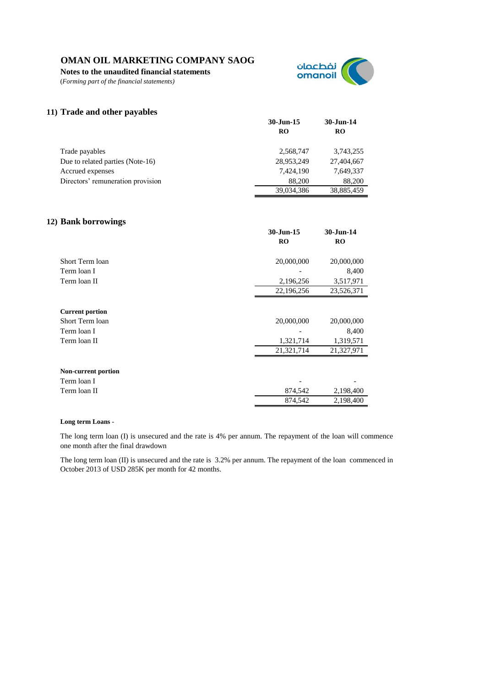**Notes to the unaudited financial statements**

(*Forming part of the financial statements)*



## **11) Trade and other payables**

|                                   | 30-Jun-15<br>RO | $30$ -Jun-14<br><b>RO</b> |
|-----------------------------------|-----------------|---------------------------|
| Trade payables                    | 2.568.747       | 3,743,255                 |
| Due to related parties (Note-16)  | 28,953,249      | 27,404,667                |
| Accrued expenses                  | 7,424,190       | 7,649,337                 |
| Directors' remuneration provision | 88,200          | 88,200                    |
|                                   | 39,034,386      | 38,885,459                |

## **12) Bank borrowings**

| <b>RO</b><br><b>RO</b><br>20,000,000<br>Short Term loan<br>20,000,000<br>8,400<br>Term loan I<br>2,196,256<br>3,517,971<br>Term loan II<br>22,196,256<br>23,526,371<br><b>Current portion</b><br>Short Term loan<br>20,000,000<br>20,000,000<br>8,400<br>Term loan I<br>1,321,714<br>1,319,571<br>Term loan II<br>21,321,714<br>21,327,971<br><b>Non-current portion</b><br>Term loan I<br>874,542<br>2,198,400<br>Term loan II | 30-Jun-15 | 30-Jun-14 |
|---------------------------------------------------------------------------------------------------------------------------------------------------------------------------------------------------------------------------------------------------------------------------------------------------------------------------------------------------------------------------------------------------------------------------------|-----------|-----------|
|                                                                                                                                                                                                                                                                                                                                                                                                                                 |           |           |
|                                                                                                                                                                                                                                                                                                                                                                                                                                 |           |           |
|                                                                                                                                                                                                                                                                                                                                                                                                                                 |           |           |
|                                                                                                                                                                                                                                                                                                                                                                                                                                 |           |           |
|                                                                                                                                                                                                                                                                                                                                                                                                                                 |           |           |
|                                                                                                                                                                                                                                                                                                                                                                                                                                 |           |           |
|                                                                                                                                                                                                                                                                                                                                                                                                                                 |           |           |
|                                                                                                                                                                                                                                                                                                                                                                                                                                 |           |           |
|                                                                                                                                                                                                                                                                                                                                                                                                                                 |           |           |
|                                                                                                                                                                                                                                                                                                                                                                                                                                 |           |           |
|                                                                                                                                                                                                                                                                                                                                                                                                                                 |           |           |
|                                                                                                                                                                                                                                                                                                                                                                                                                                 |           |           |
|                                                                                                                                                                                                                                                                                                                                                                                                                                 |           |           |
|                                                                                                                                                                                                                                                                                                                                                                                                                                 |           |           |
|                                                                                                                                                                                                                                                                                                                                                                                                                                 |           |           |
|                                                                                                                                                                                                                                                                                                                                                                                                                                 |           |           |
|                                                                                                                                                                                                                                                                                                                                                                                                                                 | 874,542   | 2,198,400 |

#### **Long term Loans -**

The long term loan (I) is unsecured and the rate is 4% per annum. The repayment of the loan will commence one month after the final drawdown

The long term loan (II) is unsecured and the rate is 3.2% per annum. The repayment of the loan commenced in October 2013 of USD 285K per month for 42 months.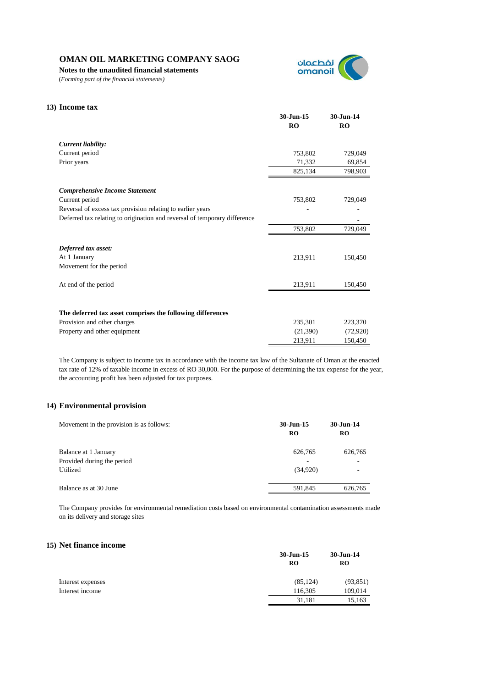**Notes to the unaudited financial statements**

(*Forming part of the financial statements)*



# **13) Income tax 30-Jun-15 30-Jun-14 RO RO** *Current liability:* Current period 753,802 729,049 Prior years 69,854 825,134 798,903 *Comprehensive Income Statement* Current period 753,802 729,049 Reversal of excess tax provision relating to earlier years - - Deferred tax relating to origination and reversal of temporary difference 753,802 729,049 *Deferred tax asset:* At 1 January 213,911 150,450 Movement for the period At end of the period 213,911 150,450 **The deferred tax asset comprises the following differences** Provision and other charges 235,301 223,370 Property and other equipment (21,390) (72,920) 213,911 150,450

The Company is subject to income tax in accordance with the income tax law of the Sultanate of Oman at the enacted tax rate of 12% of taxable income in excess of RO 30,000. For the purpose of determining the tax expense for the year, the accounting profit has been adjusted for tax purposes.

#### **14) Environmental provision**

| Movement in the provision is as follows: | 30-Jun-15<br><b>RO</b> | $30 - Jun-14$<br><b>RO</b> |
|------------------------------------------|------------------------|----------------------------|
| Balance at 1 January                     | 626,765                | 626,765                    |
| Provided during the period               | -                      |                            |
| Utilized                                 | (34.920)               |                            |
| Balance as at 30 June                    | 591,845                | 626,765                    |

The Company provides for environmental remediation costs based on environmental contamination assessments made on its delivery and storage sites

#### **15) Net finance income**

|                   | $30$ -Jun-15 | $30 - Jun-14$ |
|-------------------|--------------|---------------|
|                   | RO           | <b>RO</b>     |
| Interest expenses | (85, 124)    | (93, 851)     |
| Interest income   | 116,305      | 109,014       |
|                   | 31,181       | 15,163        |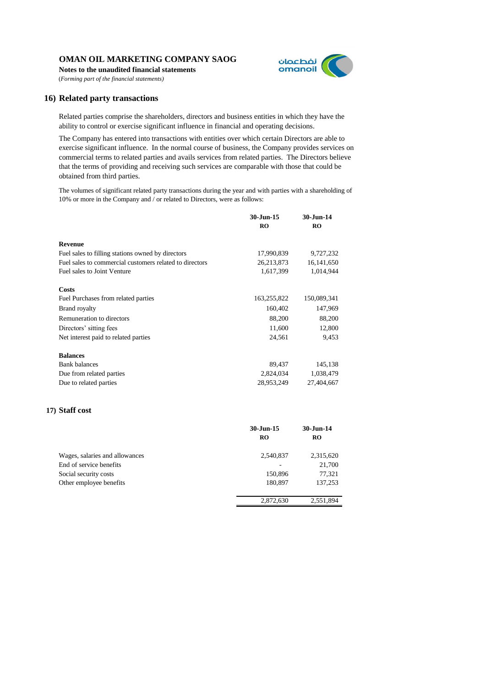**Notes to the unaudited financial statements**



(*Forming part of the financial statements)*

#### **16) Related party transactions**

Related parties comprise the shareholders, directors and business entities in which they have the ability to control or exercise significant influence in financial and operating decisions.

The Company has entered into transactions with entities over which certain Directors are able to exercise significant influence. In the normal course of business, the Company provides services on commercial terms to related parties and avails services from related parties. The Directors believe that the terms of providing and receiving such services are comparable with those that could be obtained from third parties.

The volumes of significant related party transactions during the year and with parties with a shareholding of 10% or more in the Company and / or related to Directors, were as follows:

|                                                         | 30-Jun-15      | 30-Jun-14    |
|---------------------------------------------------------|----------------|--------------|
|                                                         | R <sub>O</sub> | RO           |
|                                                         |                |              |
| <b>Revenue</b>                                          |                |              |
| Fuel sales to filling stations owned by directors       | 17,990,839     | 9,727,232    |
| Fuel sales to commercial customers related to directors | 26, 213, 873   | 16, 141, 650 |
| Fuel sales to Joint Venture                             | 1,617,399      | 1,014,944    |
| Costs                                                   |                |              |
| Fuel Purchases from related parties                     | 163,255,822    | 150,089,341  |
| Brand royalty                                           | 160,402        | 147,969      |
| Remuneration to directors                               | 88,200         | 88,200       |
| Directors' sitting fees                                 | 11,600         | 12,800       |
| Net interest paid to related parties                    | 24,561         | 9,453        |
| <b>Balances</b>                                         |                |              |
| <b>Bank</b> balances                                    | 89,437         | 145,138      |
| Due from related parties                                | 2,824,034      | 1,038,479    |
| Due to related parties                                  | 28,953,249     | 27,404,667   |
|                                                         |                |              |

### **17) Staff cost**

|                                                                                                               | 30-Jun-15<br><b>RO</b>          | 30-Jun-14<br><b>RO</b>                   |
|---------------------------------------------------------------------------------------------------------------|---------------------------------|------------------------------------------|
| Wages, salaries and allowances<br>End of service benefits<br>Social security costs<br>Other employee benefits | 2,540,837<br>150,896<br>180,897 | 2,315,620<br>21,700<br>77,321<br>137,253 |
|                                                                                                               | 2,872,630                       | 2,551,894                                |